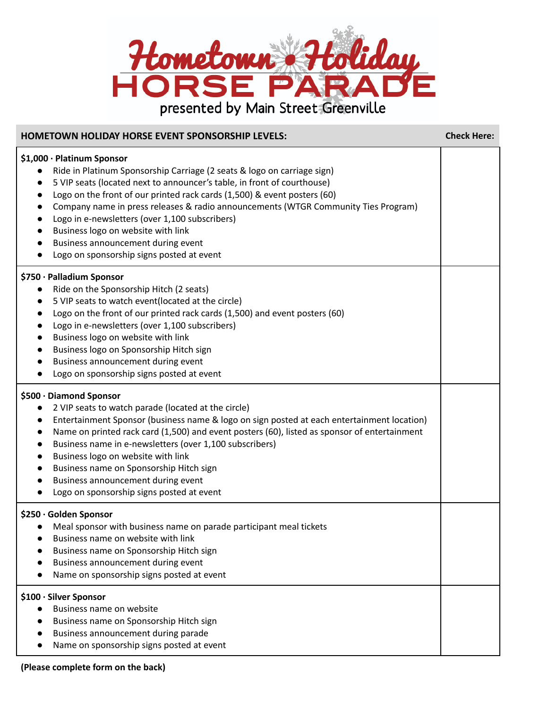

| <b>HOMETOWN HOLIDAY HORSE EVENT SPONSORSHIP LEVELS:</b>                                                                                                                                                                                                                                                                                                                                                                                                                                                                                                                                                                               | <b>Check Here:</b> |
|---------------------------------------------------------------------------------------------------------------------------------------------------------------------------------------------------------------------------------------------------------------------------------------------------------------------------------------------------------------------------------------------------------------------------------------------------------------------------------------------------------------------------------------------------------------------------------------------------------------------------------------|--------------------|
| \$1,000 · Platinum Sponsor<br>Ride in Platinum Sponsorship Carriage (2 seats & logo on carriage sign)<br>$\bullet$<br>5 VIP seats (located next to announcer's table, in front of courthouse)<br>$\bullet$<br>Logo on the front of our printed rack cards (1,500) & event posters (60)<br>$\bullet$<br>Company name in press releases & radio announcements (WTGR Community Ties Program)<br>$\bullet$<br>Logo in e-newsletters (over 1,100 subscribers)<br>$\bullet$<br>Business logo on website with link<br>$\bullet$<br>Business announcement during event<br>$\bullet$<br>Logo on sponsorship signs posted at event<br>$\bullet$ |                    |
| \$750 · Palladium Sponsor<br>Ride on the Sponsorship Hitch (2 seats)<br>$\bullet$<br>5 VIP seats to watch event(located at the circle)<br>$\bullet$<br>Logo on the front of our printed rack cards (1,500) and event posters (60)<br>$\bullet$<br>Logo in e-newsletters (over 1,100 subscribers)<br>$\bullet$<br>Business logo on website with link<br>$\bullet$<br>Business logo on Sponsorship Hitch sign<br>$\bullet$<br>Business announcement during event<br>Logo on sponsorship signs posted at event                                                                                                                           |                    |
| \$500 · Diamond Sponsor<br>2 VIP seats to watch parade (located at the circle)<br>$\bullet$<br>Entertainment Sponsor (business name & logo on sign posted at each entertainment location)<br>$\bullet$<br>Name on printed rack card (1,500) and event posters (60), listed as sponsor of entertainment<br>$\bullet$<br>Business name in e-newsletters (over 1,100 subscribers)<br>$\bullet$<br>Business logo on website with link<br>$\bullet$<br>Business name on Sponsorship Hitch sign<br>$\bullet$<br>Business announcement during event<br>Logo on sponsorship signs posted at event<br>$\bullet$                                |                    |
| \$250 · Golden Sponsor<br>Meal sponsor with business name on parade participant meal tickets<br>Business name on website with link<br>Business name on Sponsorship Hitch sign<br>Business announcement during event<br>Name on sponsorship signs posted at event                                                                                                                                                                                                                                                                                                                                                                      |                    |
| \$100 · Silver Sponsor<br>Business name on website<br>Business name on Sponsorship Hitch sign<br>Business announcement during parade<br>Name on sponsorship signs posted at event                                                                                                                                                                                                                                                                                                                                                                                                                                                     |                    |

**(Please complete form on the back)**